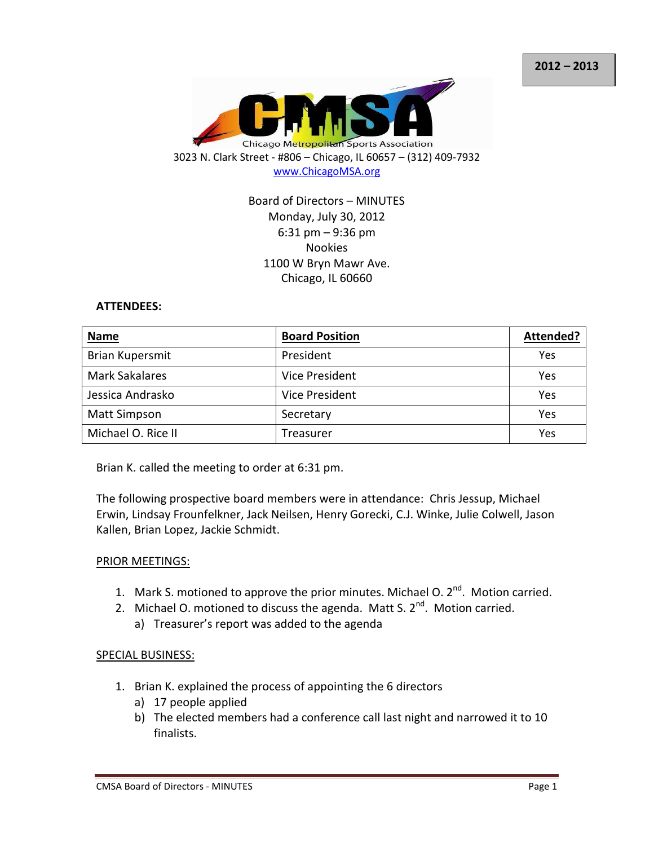

## Board of Directors – MINUTES Monday, July 30, 2012 6:31 pm – 9:36 pm Nookies 1100 W Bryn Mawr Ave. Chicago, IL 60660

#### **ATTENDEES:**

| <b>Name</b>            | <b>Board Position</b> | Attended?  |
|------------------------|-----------------------|------------|
| <b>Brian Kupersmit</b> | President             | <b>Yes</b> |
| <b>Mark Sakalares</b>  | Vice President        | Yes        |
| Jessica Andrasko       | Vice President        | Yes        |
| <b>Matt Simpson</b>    | Secretary             | Yes        |
| Michael O. Rice II     | Treasurer             | Yes        |

Brian K. called the meeting to order at 6:31 pm.

The following prospective board members were in attendance: Chris Jessup, Michael Erwin, Lindsay Frounfelkner, Jack Neilsen, Henry Gorecki, C.J. Winke, Julie Colwell, Jason Kallen, Brian Lopez, Jackie Schmidt.

#### PRIOR MEETINGS:

- 1. Mark S. motioned to approve the prior minutes. Michael O.  $2^{nd}$ . Motion carried.
- 2. Michael O. motioned to discuss the agenda. Matt S.  $2^{nd}$ . Motion carried.
	- a) Treasurer's report was added to the agenda

### SPECIAL BUSINESS:

- 1. Brian K. explained the process of appointing the 6 directors
	- a) 17 people applied
	- b) The elected members had a conference call last night and narrowed it to 10 finalists.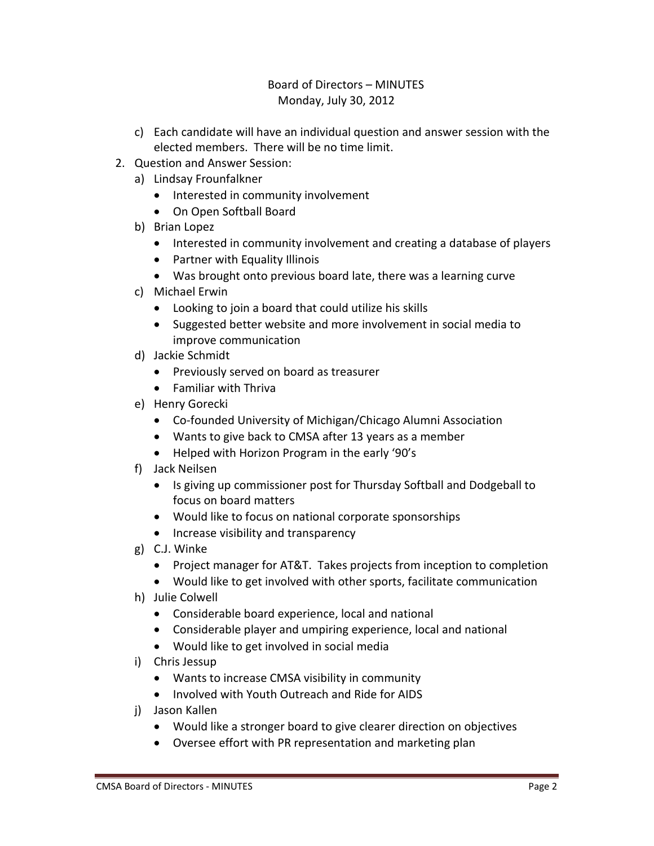# Board of Directors – MINUTES Monday, July 30, 2012

- c) Each candidate will have an individual question and answer session with the elected members. There will be no time limit.
- 2. Question and Answer Session:
	- a) Lindsay Frounfalkner
		- Interested in community involvement
		- On Open Softball Board
	- b) Brian Lopez
		- Interested in community involvement and creating a database of players
		- Partner with Equality Illinois
		- Was brought onto previous board late, there was a learning curve
	- c) Michael Erwin
		- Looking to join a board that could utilize his skills
		- Suggested better website and more involvement in social media to improve communication
	- d) Jackie Schmidt
		- Previously served on board as treasurer
		- Familiar with Thriva
	- e) Henry Gorecki
		- Co-founded University of Michigan/Chicago Alumni Association
		- Wants to give back to CMSA after 13 years as a member
		- Helped with Horizon Program in the early '90's
	- f) Jack Neilsen
		- Is giving up commissioner post for Thursday Softball and Dodgeball to focus on board matters
		- Would like to focus on national corporate sponsorships
		- Increase visibility and transparency
	- g) C.J. Winke
		- Project manager for AT&T. Takes projects from inception to completion
		- Would like to get involved with other sports, facilitate communication
	- h) Julie Colwell
		- Considerable board experience, local and national
		- Considerable player and umpiring experience, local and national
		- Would like to get involved in social media
	- i) Chris Jessup
		- Wants to increase CMSA visibility in community
		- Involved with Youth Outreach and Ride for AIDS
	- j) Jason Kallen
		- Would like a stronger board to give clearer direction on objectives
		- Oversee effort with PR representation and marketing plan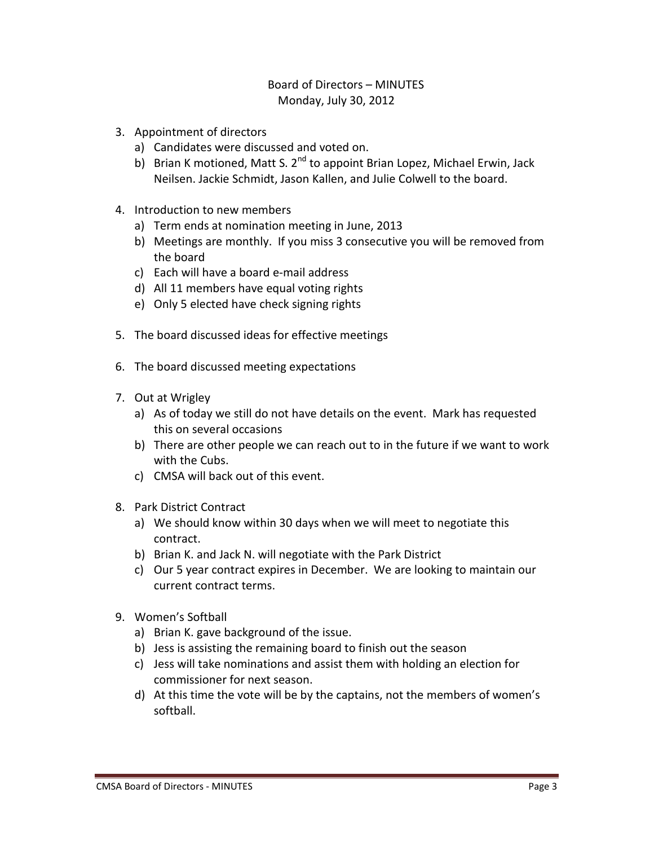## Board of Directors – MINUTES Monday, July 30, 2012

- 3. Appointment of directors
	- a) Candidates were discussed and voted on.
	- b) Brian K motioned, Matt S. 2<sup>nd</sup> to appoint Brian Lopez, Michael Erwin, Jack Neilsen. Jackie Schmidt, Jason Kallen, and Julie Colwell to the board.
- 4. Introduction to new members
	- a) Term ends at nomination meeting in June, 2013
	- b) Meetings are monthly. If you miss 3 consecutive you will be removed from the board
	- c) Each will have a board e-mail address
	- d) All 11 members have equal voting rights
	- e) Only 5 elected have check signing rights
- 5. The board discussed ideas for effective meetings
- 6. The board discussed meeting expectations
- 7. Out at Wrigley
	- a) As of today we still do not have details on the event. Mark has requested this on several occasions
	- b) There are other people we can reach out to in the future if we want to work with the Cubs.
	- c) CMSA will back out of this event.
- 8. Park District Contract
	- a) We should know within 30 days when we will meet to negotiate this contract.
	- b) Brian K. and Jack N. will negotiate with the Park District
	- c) Our 5 year contract expires in December. We are looking to maintain our current contract terms.
- 9. Women's Softball
	- a) Brian K. gave background of the issue.
	- b) Jess is assisting the remaining board to finish out the season
	- c) Jess will take nominations and assist them with holding an election for commissioner for next season.
	- d) At this time the vote will be by the captains, not the members of women's softball.